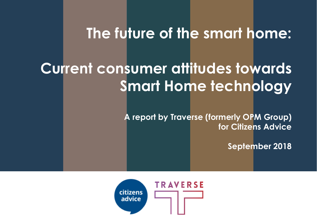## **The future of the smart home:**

# **Current consumer attitudes towards Smart Home technology**

**A report by Traverse (formerly OPM Group) for Citizens Advice**

**September 2018**

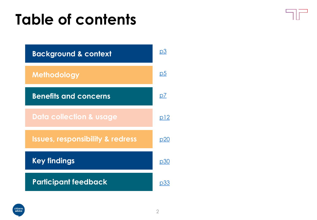# **Table of contents**





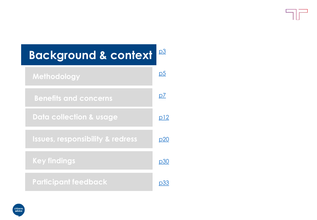| <b>Background &amp; context</b>             | <u>p3</u>      |
|---------------------------------------------|----------------|
| Methodology                                 | p <sub>5</sub> |
| <b>Benefits and concerns</b>                | p7             |
| <b>Data collection &amp; usage</b>          | <u>p12</u>     |
| <b>Issues, responsibility &amp; redress</b> | <u>p20</u>     |
| <b>Key findings</b>                         | p30            |
| <b>Participant feedback</b>                 | D33            |

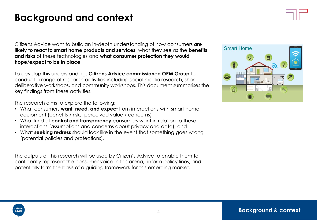### <span id="page-3-0"></span>**Background and context**

Citizens Advice want to build an in-depth understanding of how consumers **are likely to react to smart home products and services**, what they see as the **benefits and risks** of these technologies and **what consumer protection they would hope/expect to be in place**.

To develop this understanding, **Citizens Advice commissioned OPM Group** to conduct a range of research activities including social media research, short deliberative workshops, and community workshops. This document summarises the key findings from these activities.

The research aims to explore the following:

- What consumers **want, need, and expect** from interactions with smart home equipment (benefits / risks, perceived value / concerns)
- What kind of **control and transparency** consumers want in relation to these interactions (assumptions and concerns about privacy and data); and
- What **seeking redress** should look like in the event that something goes wrong (potential policies and protections).

The outputs of this research will be used by Citizen's Advice to enable them to confidently represent the consumer voice in this arena, inform policy lines, and potentially form the basis of a guiding framework for this emerging market.



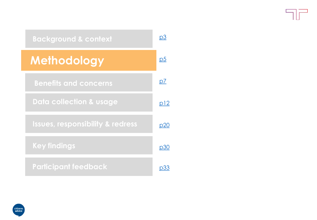$\neg F$ 

<span id="page-4-0"></span>

| <b>Background &amp; context</b>             | pЗ             |
|---------------------------------------------|----------------|
| <b>Methodology</b>                          | p <sub>5</sub> |
| <b>Benefits and concerns</b>                | p7             |
| <b>Data collection &amp; usage</b>          | <u>p12</u>     |
| <b>Issues, responsibility &amp; redress</b> | p20            |
| <b>Key findings</b>                         | p30            |
| <b>Participant feedback</b>                 |                |

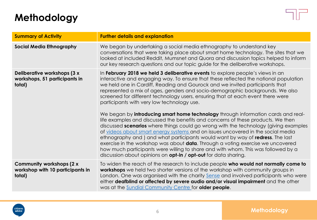### **Methodology**



| <b>Summary of Activity</b>                                             | <b>Further details and explanation</b>                                                                                                                                                                                                                                                                                                                                                                                                                                                                                                                                                                                                                                                                                                                                                                                                                                                                                                                                                                                                                                                                                                                                    |
|------------------------------------------------------------------------|---------------------------------------------------------------------------------------------------------------------------------------------------------------------------------------------------------------------------------------------------------------------------------------------------------------------------------------------------------------------------------------------------------------------------------------------------------------------------------------------------------------------------------------------------------------------------------------------------------------------------------------------------------------------------------------------------------------------------------------------------------------------------------------------------------------------------------------------------------------------------------------------------------------------------------------------------------------------------------------------------------------------------------------------------------------------------------------------------------------------------------------------------------------------------|
| <b>Social Media Ethnography</b>                                        | We began by undertaking a social media ethnography to understand key<br>conversations that were taking place about smart home technology. The sites that we<br>looked at included Reddit, Mumsnet and Quora and discussion topics helped to inform<br>our key research questions and our topic guide for the deliberative workshops.                                                                                                                                                                                                                                                                                                                                                                                                                                                                                                                                                                                                                                                                                                                                                                                                                                      |
| Deliberative workshops (3 x<br>workshops, 51 participants in<br>total) | In February 2018 we held 3 deliberative events to explore people's views in an<br>interactive and engaging way. To ensure that these reflected the national population<br>we held one in Cardiff, Reading and Gourock and we invited participants that<br>represented a mix of ages, genders and socio-demographic backgrounds. We also<br>screened for different technology users, ensuring that at each event there were<br>participants with very low technology use.<br>We began by introducing smart home technology through information cards and real-<br>life examples and discussed the benefits and concerns of these products. We then<br>discussed scenarios where things could go wrong with the technology (giving examples<br>of videos about smart energy systems and on issues uncovered in the social media<br>ethnography and ) and what participants would want by way of redress. The last<br>exercise in the workshop was about <b>data</b> . Through a voting exercise we uncovered<br>how much participants were willing to share and with whom. This was followed by a<br>discussion about opinions on <b>opt-in / opt-out</b> for data sharing. |
| Community workshops (2 x<br>workshop with 10 participants in<br>total) | To widen the reach of the research to include people who would not normally come to<br>workshops we held two shorter versions of the workshop with community groups in<br>London. One was organised with the charity Sense and involved participants who were<br>either deafblind or affected by severe audio and/or visual impairment and the other<br>was at the Sundial Community Centre for older people.                                                                                                                                                                                                                                                                                                                                                                                                                                                                                                                                                                                                                                                                                                                                                             |

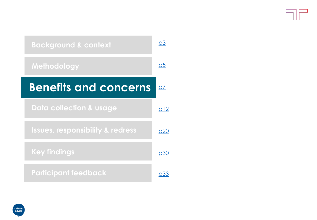<span id="page-6-0"></span>

| <b>Background &amp; context</b>             | pЗ         |
|---------------------------------------------|------------|
| Methodology                                 | p5         |
| <b>Benefits and concerns</b>                | p7         |
| <b>Data collection &amp; usage</b>          | p12        |
| <b>Issues, responsibility &amp; redress</b> | <u>p20</u> |
| <b>Key findings</b>                         | p30        |
| <b>Participant feedback</b>                 |            |

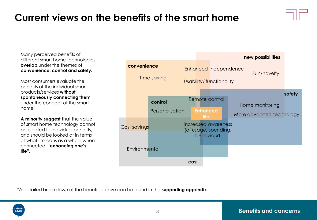## **Current views on the benefits of the smart home**

Many perceived benefits of different smart home technologies **overlap** under the themes of **convenience, control and safety.** 

Most consumers evaluate the benefits of the individual smart products/services **without spontaneously connecting them**  under the concept of the smart home.

**A minority suggest** that the value of smart home technology cannot be isolated to individual benefits, and should be looked at in terms of what it means as a whole when connected: "**enhancing one's life".** 



\*A detailed breakdown of the benefits above can be found in the **supporting appendix**.

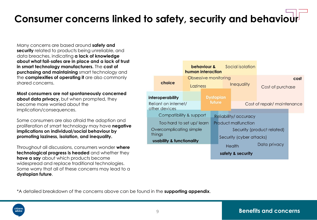## **Consumer concerns linked to safety, security and behaviour**

Many concerns are based around **safety and security** related to products being unreliable, and data breaches, indicating **a lack of knowledge about what fail-safes are in place and a lack of trust in smart technology manufacturers.** The **cost of purchasing and maintaining** smart technology and the **complexities of operating it** are also commonly shared concerns.

**Most consumers are not spontaneously concerned about data privacy,** but when prompted, they become more worried about the implication/consequences.

Some consumers are also afraid the adoption and proliferation of smart technology may have **negative implications on individual/social behaviour by promoting laziness, isolation, and inequality.** 

Throughout all discussions, consumers wonder **where technological progress is headed** and whether they **have a say** about which products become widespread and replace traditional technologies. Some worry that all of these concerns may lead to a **dystopian future**.



\*A detailed breakdown of the concerns above can be found in the **supporting appendix**.

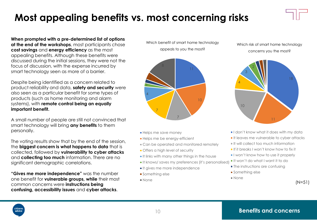## **Most appealing benefits vs. most concerning risks**

**When prompted with a pre-determined list of options at the end of the workshops**, most participants chose **cost savings** and **energy efficiency** as the most appealing benefits. Although these benefits were discussed during the initial sessions, they were not the focus of discussion, with the expense incurred by smart technology seen as more of a barrier.

Despite being identified as a concern related to product reliability and data, **safety and security** were also seen as a particular benefit for some types of products (such as home monitoring and alarm systems), with **remote control being an equally important benefit.**

A small number of people are still not convinced that smart technology will bring **any benefits** to them personally.

The voting results show that by the end of the session, the **biggest concern is what happens to data** that is collected, followed by **vulnerability to cyber attacks**  and **collecting too much** information. There are no significant demographic correlations.

**"Gives me more independence"** was the number one benefit for **vulnerable groups, while** their most common concerns were **instructions being confusing, accessibility issues** and **cyber attacks**.

Which benefit of smart home technology appeals to you the most?



- **Helps me save money**
- **Helps me be energy-efficient**
- **Can be operated and monitored remotely**
- **Offers a high level of security**
- It links with many other things in the house
- **It knows/ saves my preferences (it's personalised)**
- It gives me more independence
- **Something else**
- None

#### Which risk of smart home technology concerns you the most?



- **I** don't know what it does with my data
- It leaves me vulnerable to cyber attacks
- If will collect too much information
- If it breaks I won't know how to fix it
- I won't know how to use it properly
- It won't do what I want it to do
- The instructions are confusing
- **Something else**
- None

(N=51)

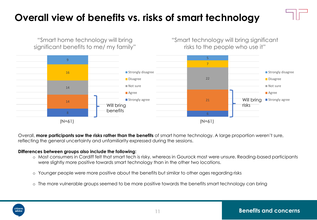## <span id="page-10-0"></span>**Overall view of benefits vs. risks of smart technology**



Overall, **more participants saw the risks rather than the benefits** of smart home technology. A large proportion weren't sure, reflecting the general uncertainty and unfamiliarity expressed during the sessions.

#### **Differences between groups also include the following:**

- o Most consumers in Cardiff felt that smart tech is risky, whereas in Gourock most were unsure. Reading-based participants were slightly more positive towards smart technology than in the other two locations.
- o Younger people were more positive about the benefits but similar to other ages regarding risks
- o The more vulnerable groups seemed to be more positive towards the benefits smart technology can bring

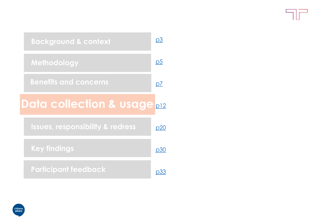Tr

<span id="page-11-0"></span>

| <b>Background &amp; context</b>             | <u>p3</u> |
|---------------------------------------------|-----------|
| Methodology                                 | <u>p5</u> |
| <b>Benefits and concerns</b>                | <u>p7</u> |
| <b>Data collection &amp; usage</b>          | p12       |
| <b>Issues, responsibility &amp; redress</b> | p20       |
| <b>Key findings</b>                         | p30       |
| <b>Participant feedback</b>                 | p33       |

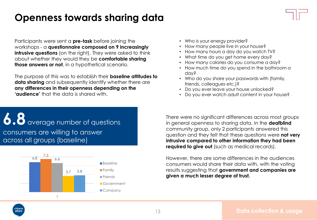### **Openness towards sharing data**

Participants were sent a **pre-task** before joining the workshops - a **questionnaire composed on 9 increasingly intrusive questions** (on the right). They were asked to think about whether they would they be **comfortable sharing those answers or not**, in a hypothetical scenario.

The purpose of this was to establish their **baseline attitudes to data sharing** and subsequently identify whether there are **any differences in their openness depending on the 'audience'** that the data is shared with.

- Who is your energy provider?
- How many people live in your house?
- How many hours a day do you watch TV?
- What time do you get home every day?
- How many calories do you consume a day?
- How much time do you spend in the bathroom a day?
- Who do you share your passwords with (family, friends, colleagues etc.)?
- Do you ever leave your house unlocked?
- Do you ever watch adult content in your house?

 $6.8$  average number of questions consumers are willing to answer across all groups (baseline)



There were no significant differences across most groups in general openness to sharing data. In the **deafblind** community group, only 2 participants answered this question and they felt that these questions were **not very intrusive compared to other information they had been required to give out** (such as medical records).

However, there are some differences in the audiences consumers would share their data with, with the voting results suggesting that **government and companies are given a much lesser degree of trust.** 

citizens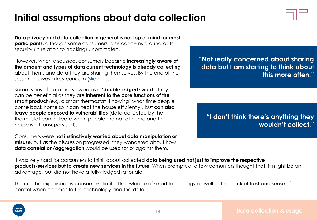## **Initial assumptions about data collection**

**Data privacy and data collection in general is not top of mind for most participants**, although some consumers raise concerns around data security (in relation to hacking) unprompted.

However, when discussed, consumers became **increasingly aware of the amount and types of data current technology is already collecting**  about them, and data they are sharing themselves. By the end of the session this was a key concern [\(slide 11](#page-10-0)).

Some types of data are viewed as a **'double-edged sword**': they can be beneficial as they are **inherent to the core functions of the smart product** (e.g. a smart thermostat 'knowing' what time people come back home so it can heat the house efficiently), but **can also leave people exposed to vulnerabilities** (data collected by the thermostat can indicate when people are not at home and the house is left unsupervised).

Consumers were **not instinctively worried about data manipulation or misuse**, but as the discussion progressed, they wondered about how **data correlation/aggregation** would be used for or against them.

**"Not really concerned about sharing data but I am starting to think about this more often."**

**"I don't think there's anything they wouldn't collect."**

It was very hard for consumers to think about collected **data being used not just to improve the respective products/services but to create new services in the future**. When prompted, a few consumers thought that it might be an advantage, but did not have a fully-fledged rationale.

This can be explained by consumers' limited knowledge of smart technology as well as their lack of trust and sense of control when it comes to the technology and the data.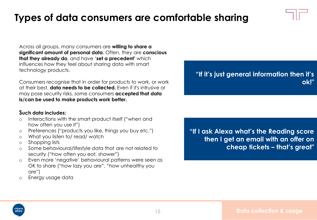### **Types of data consumers are comfortable sharing**

Across all groups, many consumers are **willing to share a significant amount of personal data**. Often, they are **conscious that they already do**, and have '**set a precedent'** which influences how they feel about sharing data with smart technology products.

Consumers recognise that in order for products to work, or work at their best, **data needs to be collected.** Even if it's intrusive or may pose security risks, some consumers **accepted that data is/can be used to make products work better.** 

#### **Such data includes:**

- o Interactions with the smart product itself ("when and how often you use it")
- o Preferences ("products you like, things you buy etc.")
- o What you listen to/ read/ watch
- o Shopping lists
- o Some behavioural/lifestyle data that are not related to security ("how often you eat, shower")
- o Even more 'negative' behavioural patterns were seen as OK to share ("how lazy you are", "how unhealthy you are")
- o Energy usage data

**"If I ask Alexa what's the Reading score then I get an email with an offer on cheap tickets – that's great"**

**"If it's just general information then it's ok!"**



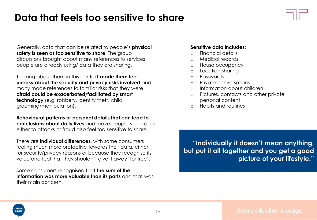### **Data that feels too sensitive to share**

Generally, data that can be related to people's **physical safety is seen as too sensitive to share**. The group discussions brought about many references to services people are already using/ data they are sharing.

Thinking about them in this context **made them feel uneasy about the security and privacy risks involved** and many made references to familiar risks that they were **afraid could be exacerbated/facilitated by smart technology** (e.g. robbery, identity theft, child grooming/manipulation).

**Behavioural patterns or personal details that can lead to conclusions about daily lives** and leave people vulnerable either to attacks or fraud also feel too sensitive to share.

There are **individual differences**, with some consumers feeling much more protective towards their data, either for security/privacy reasons or because they recognise its value and feel that they shouldn't give it away 'for free'.

Some consumers recognised that **the sum of the information was more valuable than its parts** and that was their main concern.

#### **Sensitive data includes:**

- o Financial details
- o Medical records
- o House occupancy
- o Location sharing
- o Passwords
- o Private conversations
- o Information about children
- o Pictures, contacts and other private personal content
- o Habits and routines

**"Individually it doesn't mean anything, but put it all together and you get a good picture of your lifestyle."**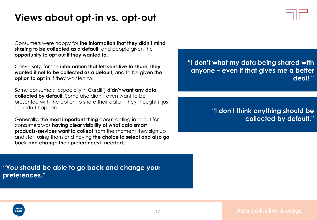### **Views about opt-in vs. opt-out**

Consumers were happy for **the information that they didn't mind sharing to be collected as a default**, and people given the **opportunity to opt out if they wanted to**.

Conversely, for the **information that felt sensitive to share, they wanted it not to be collected as a default**, and to be given the **option to opt in** if they wanted to.

Some consumers (especially in Cardiff) **didn't want any data collected by default**. Some also didn't even want to be presented with the option to share their data – they thought it just shouldn't happen.

Generally, the **most important thing** about opting in or out for consumers was **having clear visibility of what data smart products/services want to collect** from the moment they sign up and start using them and having **the choice to select and also go back and change their preferences if needed.**

**"I don't what my data being shared with anyone – even if that gives me a better deal!."**

> **"I don't think anything should be collected by default."**

**"You should be able to go back and change your preferences."**

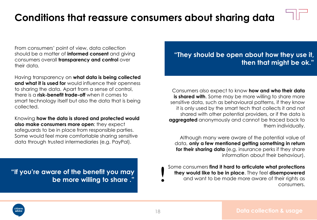### **Conditions that reassure consumers about sharing data**

From consumers' point of view, data collection should be a matter of **informed consent** and giving consumers overall **transparency and control** over their data.

Having transparency on **what data is being collected and what it is used for** would influence their openness to sharing the data. Apart from a sense of control, there is a **risk-benefit trade-off** when it comes to smart technology itself but also the data that is being collected.

Knowing **how the data is stored and protected would also make consumers more open**: they expect safeguards to be in place from responsible parties. Some would feel more comfortable sharing sensitive data through trusted intermediaries (e.g. PayPal).

**"If you're aware of the benefit you may be more willing to share ."**

**"They should be open about how they use it, then that might be ok."**

Consumers also expect to know **how and who their data is shared with.** Some may be more willing to share more sensitive data, such as behavioural patterns, if they know it is only used by the smart tech that collects it and not shared with other potential providers, or if the data is **aggregated** anonymously and cannot be traced back to them individually.

Although many were aware of the potential value of data, **only a few mentioned getting something in return for their sharing data** (e.g. insurance perks if they share information about their behaviour).

Some consumers **find it hard to articulate what protections they would like to be in place**. They feel **disempowered**  and want to be made more aware of their rights as consumers.

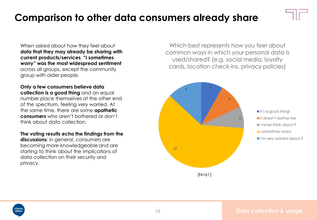### **Comparison to other data consumers already share**

When asked about how they feel about **data that they may already be sharing with current products/services**, **"I sometimes worry" was the most widespread sentiment**  across all groups, except the community group with older people.

**Only a few consumers believe data collection is a good thing** and an equal number place themselves at the other end of the spectrum, feeling very worried. At the same time, there are some **apathetic consumers** who aren't bothered or don't think about data collection.

**The voting results echo the findings from the discussions**: in general, consumers are becoming more knowledgeable and are starting to think about the implications of data collection on their security and privacy.

Which best represents how you feel about common ways in which your personal data is used/shared? (e.g. social media, loyalty cards, location check-ins, privacy policies)

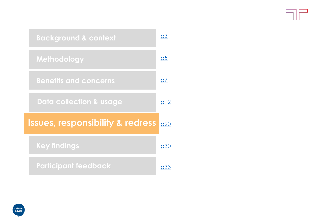<span id="page-19-0"></span>

| <b>Background &amp; context</b>             | p3             |
|---------------------------------------------|----------------|
| Methodology                                 | p <sub>5</sub> |
| <b>Benefits and concerns</b>                | p7             |
| <b>Data collection &amp; usage</b>          | p12            |
| <b>Issues, responsibility &amp; redress</b> | p20            |
| <b>Key findings</b>                         | p30            |
| <b>Participant feedback</b>                 |                |

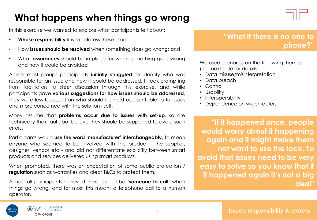## **What happens when things go wrong**

In this exercise we wanted to explore what participants felt about:

- **Whose responsibility** it is to address these issues
- How **issues should be resolved** when something does go wrong; and
- What **assurances** should be in place for when something goes wrong and how it could be avoided

Across most groups participants **initially struggled** to identify who was responsible for an issue and how it could be addressed. It took prompting from facilitators to steer discussion through this exercise, and while participants gave **various suggestions for how issues should be addressed**, they were less focussed on who should be held accountable to fix issues and more concerned with the solution itself.

Many assume that **problems occur due to issues with set-up**, so are technically their fault, but believe they should be supported to avoid such errors.

Participants would **use the word 'manufacturer' interchangeably,** to mean anyone who seemed to be involved with the product - the supplier, designer, vendor etc - and did not differentiate explicitly between smart products and services delivered using smart products.

When prompted, there was an expectation of some public protection / **regulation** such as warranties and clear T&Cs to protect them.

Almost all participants believed there should be '**someone to call**' when things go wrong, and for most this meant a telephone call to a human operator.



### **"What if there is no one to phone?"**

We used scenarios on the following themes (see next slide for details):

- Data misuse/misinterpretation
- Data breach
- Control
- Usability
- Interoperability
- Dependence on wider factors

**"If it happened once, people would worry about it happening again and it might make them not want to use the lock. To avoid that issues need to be very easy to solve so you know that if it happened again it's not a big deal"**

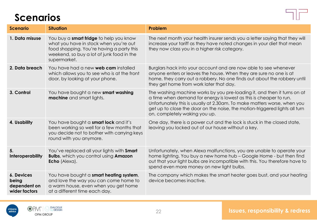### **Scenarios**



| <b>Scenario</b>                                      | <b>Situation</b>                                                                                                                                                                            | Problem                                                                                                                                                                                                                                                                                                                                    |
|------------------------------------------------------|---------------------------------------------------------------------------------------------------------------------------------------------------------------------------------------------|--------------------------------------------------------------------------------------------------------------------------------------------------------------------------------------------------------------------------------------------------------------------------------------------------------------------------------------------|
| 1. Data misuse                                       | You buy a smart fridge to help you know<br>what you have in stock when you're out<br>food shopping. You're having a party this<br>weekend, so buy a lot of junk food in the<br>supermarket. | The next month your health insurer sends you a letter saying that they will<br>increase your tariff as they have noted changes in your diet that mean<br>they now class you in a higher risk category.                                                                                                                                     |
| 2. Data breach                                       | You have had a new <b>web cam</b> installed<br>which allows you to see who is at the front<br>door, by looking at your phone.                                                               | Burglars hack into your account and are now able to see whenever<br>anyone enters or leaves the house. When they are sure no one is at<br>home, they carry out a robbery. No one finds out about the robbery until<br>they get home from work later that day.                                                                              |
| 3. Control                                           | You have bought a new smart washing<br>machine and smart lights.                                                                                                                            | The washing machine works by you pre-loading it, and then it turns on at<br>a time when demand for energy is lowest as this is cheaper to run.<br>Unfortunately this is usually at 2.30am. To make matters worse, when you<br>get up to close the door on the noise, the motion-triggered lights all turn<br>on, completely waking you up. |
| 4. Usability                                         | You have bought a smart lock and it's<br>been working so well for a few months that<br>you decide not to bother with carrying keys<br>round with you anymore.                               | One day, there is a power cut and the lock is stuck in the closed state,<br>leaving you locked out of our house without a key.                                                                                                                                                                                                             |
| 5.<br><b>Interoperability</b>                        | You've replaced all your lights with Smart<br><b>Bulbs, which you control using Amazon</b><br>Echo (Alexa).                                                                                 | Unfortunately, when Alexa malfunctions, you are unable to operate your<br>home lighting. You buy a new home hub - Google Home - but then find<br>out that your light bulbs are incompatible with this. You therefore have to<br>spend even more money on new light bulbs.                                                                  |
| 6. Devices<br>being<br>dependent on<br>wider factors | You have bought a smart heating system,<br>and love the way you can come home to<br>a warm house, even when you get home<br>at a different time each day.                                   | The company which makes the smart heater goes bust, and your heating<br>device becomes inactive.                                                                                                                                                                                                                                           |

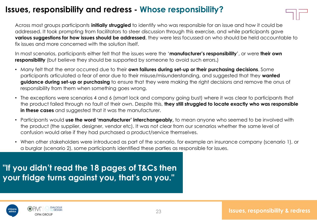### **Issues, responsibility and redress - Whose responsibility?**



Across most groups participants **initially struggled** to identify who was responsible for an issue and how it could be addressed. It took prompting from facilitators to steer discussion through this exercise, and while participants gave **various suggestions for how issues should be addressed**, they were less focussed on who should be held accountable to fix issues and more concerned with the solution itself.

In most scenarios, participants either felt that the issues were the '**manufacturer's responsibility**', or were **their own responsibility** (but believe they should be supported by someone to avoid such errors.)

- Many felt that the error occurred due to their **own failures during set-up or their purchasing decisions**. Some participants articulated a fear of error due to their misuse/misunderstanding, and suggested that they **wanted guidance during set-up or purchasing** to ensure that they were making the right decisions and remove the onus of responsibility from them when something goes wrong.
- The exceptions were scenarios 4 and 6 (smart lock and company going bust) where it was clear to participants that the product failed through no fault of their own. Despite this, **they still struggled to locate exactly who was responsible in these cases** and suggested that it was the manufacturer.
- Participants would **use the word 'manufacturer' interchangeably,** to mean anyone who seemed to be involved with the product (the supplier, designer, vendor etc). It was not clear from our scenarios whether the same level of confusion would arise if they had purchased a product/service themselves.
- When other stakeholders were introduced as part of the scenario, for example an insurance company (scenario 1), or a burglar (scenario 2), some participants identified these parties as responsible for issues.

**"If you didn't read the 18 pages of T&Cs then your fridge turns against you, that's on you."** 

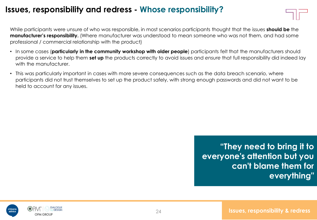### **Issues, responsibility and redress - Whose responsibility?**

While participants were unsure of who was responsible, in most scenarios participants thought that the issues **should be** the **manufacturer's responsibility.** (Where manufacturer was understood to mean someone who was not them, and had some professional / commercial relationship with the product)

- In some cases (**particularly in the community workshop with older people**) participants felt that the manufacturers should provide a service to help them **set up** the products correctly to avoid issues and *ensure* that full responsibility did indeed lay with the manufacturer.
- This was particularly important in cases with more severe consequences such as the data breach scenario, where participants did not trust themselves to set up the product safely, with strong enough passwords and did not want to be held to account for any issues.

**"They need to bring it to everyone's attention but you can't blame them for everything"**

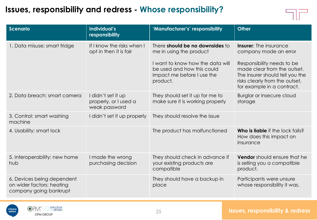### **Issues, responsibility and redress - Whose responsibility?**



| <b>Scenario</b>                                                                   | Individual's<br>responsibility                               | 'Manufacturer's' responsibility                                                                          | <b>Other</b>                                                                                                                                                 |
|-----------------------------------------------------------------------------------|--------------------------------------------------------------|----------------------------------------------------------------------------------------------------------|--------------------------------------------------------------------------------------------------------------------------------------------------------------|
| 1. Data misuse: smart fridge                                                      | If I know the risks when I<br>opt in then it is fair         | There should be no downsides to<br>me in using the product                                               | <b>Insurer:</b> The insurance<br>company made an error                                                                                                       |
|                                                                                   |                                                              | I want to know how the data will<br>be used and how this could<br>impact me before I use the<br>product. | Responsibility needs to be<br>made clear from the outset.<br>The insurer should tell you the<br>risks clearly from the outset,<br>for example in a contract. |
| 2. Data breach: smart camera                                                      | I didn't set it up<br>properly, or I used a<br>weak password | They should set it up for me to<br>make sure it is working properly                                      | Burglar or insecure cloud<br>storage                                                                                                                         |
| 3. Control: smart washing<br>machine                                              | I didn't set it up properly                                  | They should resolve the issue                                                                            |                                                                                                                                                              |
| 4. Usability: smart lock                                                          |                                                              | The product has malfunctioned                                                                            | Who is liable if the lock fails?<br>How does this impact on<br>insurance                                                                                     |
| 5. Interoperability: new home<br>hub                                              | I made the wrong<br>purchasing decision                      | They should check in advance if<br>your existing products are<br>compatible                              | Vendor should ensure that he<br>is selling you a compatible<br>product.                                                                                      |
| 6. Devices being dependent<br>on wider factors: heating<br>company going bankrupt |                                                              | They should have a backup in<br>place                                                                    | Participants were unsure<br>whose responsibility it was.                                                                                                     |

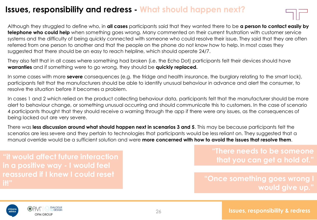### **Issues, responsibility and redress - What should happen next?**



Although they struggled to define who, in **all cases** participants said that they wanted there to be **a person to contact easily by telephone who could help** when something goes wrong. Many commented on their current frustration with customer service systems and the difficulty of being quickly connected with someone who could resolve their issue. They said that they are often referred from one person to another and that the people on the phone do not know how to help. In most cases they suggested that there should be an easy to reach helpline, which should operate 24/7.

They also felt that in all cases where something had broken (i.e. the Echo Dot) participants felt their devices should have **warranties** and if something were to go wrong, they should be **quickly replaced.**

In some cases with more **severe** consequences (e.g. the fridge and health insurance, the burglary relating to the smart lock), participants felt that the manufacturers should be able to identify unusual behaviour in advance and alert the consumer, to resolve the situation before it becomes a problem.

In cases 1 and 2 which relied on the product collecting behaviour data, participants felt that the manufacturer should be more alert to behaviour change, or something unusual occurring and should communicate this to customers. In the case of scenario 4 participants thought that they should receive a warning through the app if there were any issues, as the consequences of being locked out are very severe.

There was **less discussion around what should happen next in scenarios 3 and 5**. This may be because participants felt the scenarios are less severe and they pertain to technologies that participants would be less reliant on. They suggested that a manual override would be a sufficient solution and were **more concerned with how to avoid the issues that resolve them**.

**"it would affect future interaction in a positive way - I would feel reassured if I knew I could reset it!"**

**"There needs to be someone that you can get a hold of."**

**"Once something goes wrong I would give up."**

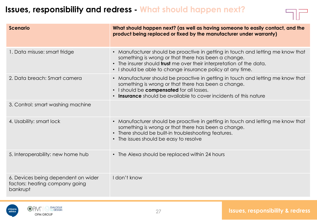### **Issues, responsibility and redress - What should happen next?**



| <b>Scenario</b>                                                                   | What should happen next? (as well as having someone to easily contact, and the<br>product being replaced or fixed by the manufacturer under warranty)                                                                                                                               |
|-----------------------------------------------------------------------------------|-------------------------------------------------------------------------------------------------------------------------------------------------------------------------------------------------------------------------------------------------------------------------------------|
| 1. Data misuse: smart fridge                                                      | • Manufacturer should be proactive in getting in touch and letting me know that<br>something is wrong or that there has been a change.<br>• The insurer should <b>trust</b> me over their interpretation of the data.<br>• I should be able to change insurance policy at any time. |
| 2. Data breach: Smart camera                                                      | • Manufacturer should be proactive in getting in touch and letting me know that<br>something is wrong or that there has been a change.<br>. I should be compensated for all losses.<br>• Insurance should be available to cover incidents of this nature                            |
| 3. Control: smart washing machine                                                 |                                                                                                                                                                                                                                                                                     |
| 4. Usability: smart lock                                                          | • Manufacturer should be proactive in getting in touch and letting me know that<br>something is wrong or that there has been a change.<br>• There should be built-in troubleshooting features.<br>• The issues should be easy to resolve                                            |
| 5. Interoperability: new home hub                                                 | • The Alexa should be replaced within 24 hours                                                                                                                                                                                                                                      |
| 6. Devices being dependent on wider<br>factors: heating company going<br>bankrupt | I don't know                                                                                                                                                                                                                                                                        |

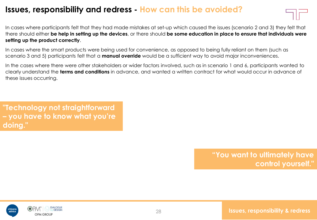### **Issues, responsibility and redress - How can this be avoided?**

In cases where participants felt that they had made mistakes at set-up which caused the issues (scenario 2 and 3) they felt that there should either **be help in setting up the devices**, or there should **be some education in place to ensure that individuals were setting up the product correctly**.

In cases where the smart products were being used for convenience, as opposed to being fully reliant on them (such as scenario 3 and 5) participants felt that a **manual override** would be a sufficient way to avoid major inconveniences.

In the cases where there were other stakeholders or wider factors involved, such as in scenario 1 and 6, participants wanted to clearly understand the **terms and conditions** in advance, and wanted a written contract for what would occur in advance of these issues occurring.

**"Technology not straightforward – you have to know what you're doing."**

> **"You want to ultimately have control yourself."**

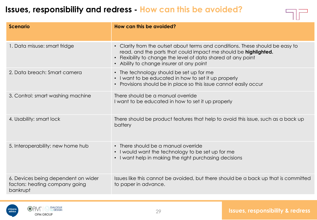### **Issues, responsibility and redress - How can this be avoided?**

| <b>Scenario</b>                                                                   | How can this be avoided?                                                                                                                                                                                                                                      |
|-----------------------------------------------------------------------------------|---------------------------------------------------------------------------------------------------------------------------------------------------------------------------------------------------------------------------------------------------------------|
| 1. Data misuse: smart fridge                                                      | • Clarity from the outset about terms and conditions. These should be easy to<br>read, and the parts that could impact me should be highlighted.<br>• Flexibility to change the level of data shared at any point<br>• Ability to change insurer at any point |
| 2. Data breach: Smart camera                                                      | • The technology should be set up for me<br>• I want to be educated in how to set it up properly<br>• Provisions should be in place so this issue cannot easily occur                                                                                         |
| 3. Control: smart washing machine                                                 | There should be a manual override<br>I want to be educated in how to set it up properly                                                                                                                                                                       |
| 4. Usability: smart lock                                                          | There should be product features that help to avoid this issue, such as a back up<br>battery                                                                                                                                                                  |
| 5. Interoperability: new home hub                                                 | • There should be a manual override<br>• I would want the technology to be set up for me<br>• I want help in making the right purchasing decisions                                                                                                            |
| 6. Devices being dependent on wider<br>factors: heating company going<br>bankrupt | Issues like this cannot be avoided, but there should be a back up that is committed<br>to paper in advance.                                                                                                                                                   |

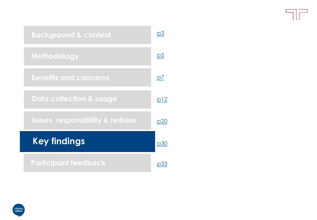7F

<span id="page-29-0"></span>

| <b>Background &amp; context</b>             | p3             |
|---------------------------------------------|----------------|
| Methodology                                 | p <sub>5</sub> |
| <b>Benefits and concerns</b>                | p7             |
| <b>Data collection &amp; usage</b>          | p12            |
| <b>Issues, responsibility &amp; redress</b> | p20            |
| <b>Key findings</b>                         | <u>p30</u>     |
| <b>Participant feedback</b>                 | D3:            |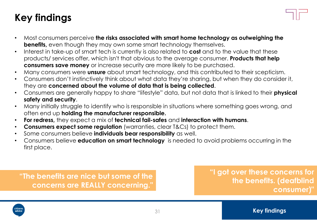## **Key findings**

- Most consumers perceive **the risks associated with smart home technology as outweighing the benefits,** even though they may own some smart technology themselves.
- Interest in take-up of smart tech is currently is also related to **cost** and to the value that these products/ services offer, which isn't that obvious to the average consumer. **Products that help consumers save money** or increase security are more likely to be purchased.
- Many consumers were **unsure** about smart technology, and this contributed to their scepticism.
- Consumers don't instinctively think about what data they're sharing, but when they do consider it, they are **concerned about the volume of data that is being collected**.
- Consumers are generally happy to share "lifestyle" data, but not data that is linked to their **physical safety and security**.
- Many initially struggle to identify who is responsible in situations where something goes wrong, and often end up **holding the manufacturer responsible.**
- **For redress,** they expect a mix of **technical fail-safes** and **interaction with humans**.
- **Consumers expect some regulation** (warranties, clear T&Cs) to protect them.
- Some consumers believe **individuals bear responsibility** as well.
- Consumers believe **education on smart technology** is needed to avoid problems occurring in the first place.

**"The benefits are nice but some of the concerns are REALLY concerning."**

**"I got over these concerns for the benefits. (deafblind consumer)"** 

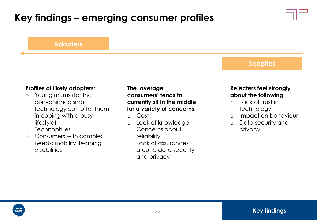## **Key findings – emerging consumer profiles**



#### **Adopters**

#### **Sceptics**

#### **Profiles of likely adopters:**

- o Young mums (for the convenience smart technology can offer them in coping with a busy lifestyle)
- o Technophiles
- o Consumers with complex needs: mobility, learning disabilities

#### **The 'average consumers' tends to currently sit in the middle for a variety of concerns:**

- o Cost
- o Lack of knowledge
- o Concerns about reliability
- o Lack of assurances around data security and privacy

#### **Rejecters feel strongly about the following:**

- o Lack of trust in technology
- o Impact on behaviour
- o Data security and privacy

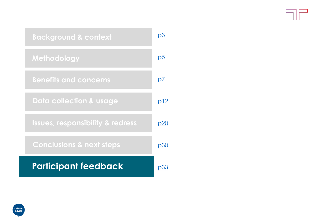Fir

<span id="page-32-0"></span>

| <b>Background &amp; context</b>             | p3             |
|---------------------------------------------|----------------|
| Methodology                                 | p <sub>5</sub> |
| <b>Benefits and concerns</b>                | p7             |
| <b>Data collection &amp; usage</b>          | <u>p12</u>     |
| <b>Issues, responsibility &amp; redress</b> | p20            |
| <b>Conclusions &amp; next steps</b>         | p30            |
| <b>Participant feedback</b>                 | D.3.3          |